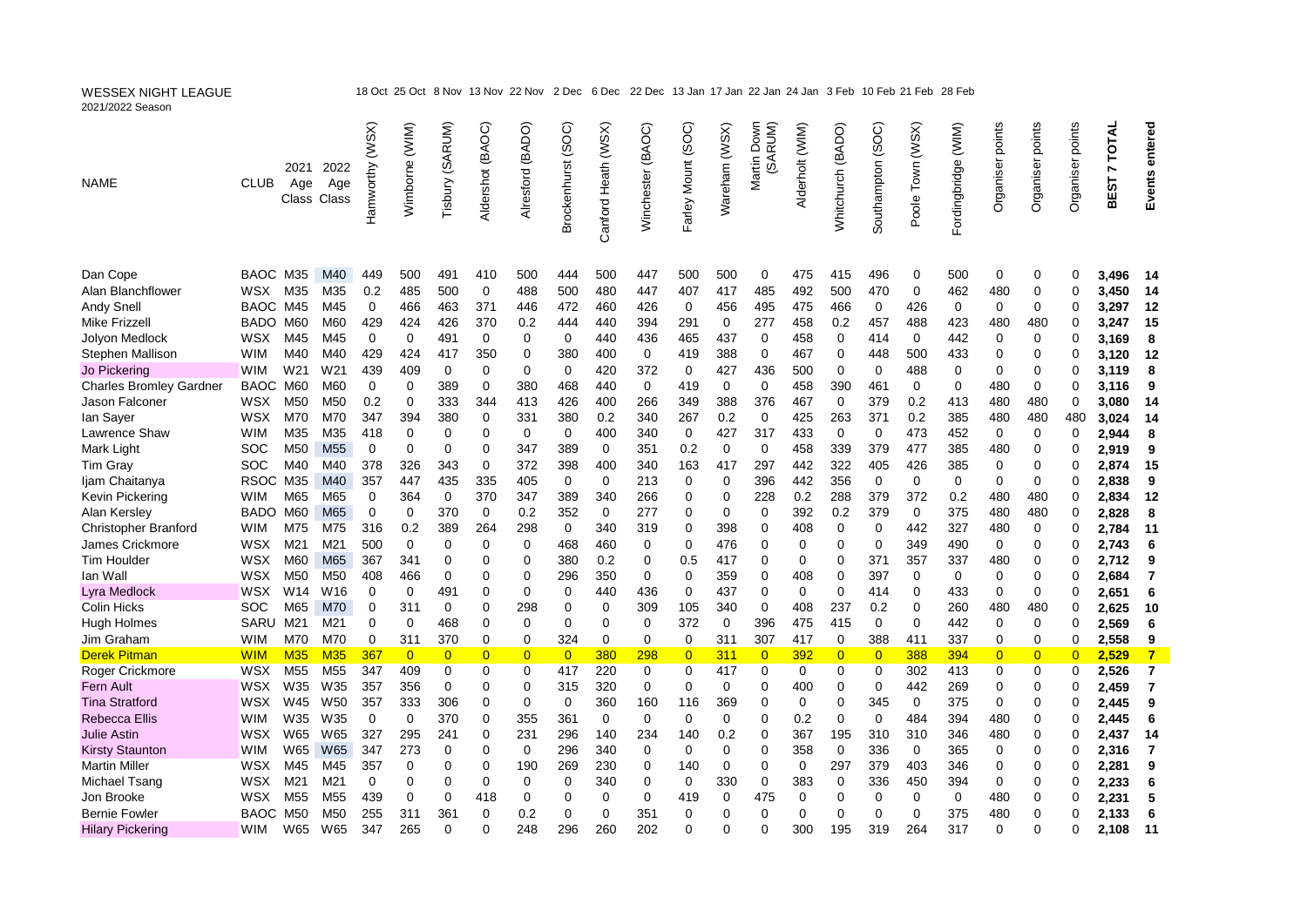| 2021/2022 Season                   |                    |                 |                               |                 |                       |                       |                  |                  |                    |                     |                   |                     |                    |                             |                 |                   |                   |                  |                     |                  |                  |                  |                           |                   |
|------------------------------------|--------------------|-----------------|-------------------------------|-----------------|-----------------------|-----------------------|------------------|------------------|--------------------|---------------------|-------------------|---------------------|--------------------|-----------------------------|-----------------|-------------------|-------------------|------------------|---------------------|------------------|------------------|------------------|---------------------------|-------------------|
| <b>NAME</b>                        | <b>CLUB</b>        | 2021<br>Age     | 2022<br>Age<br>Class Class    | Hamworthy (WSX) | Wimborne (WIM)        | Tisbury (SARUM)       | Aldershot (BAOC) | Alresford (BADO) | Brockenhurst (SOC) | Canford Heath (WSX) | Winchester (BAOC) | Farley Mount (SOC)  | Wareham (WSX)      | Down<br>(SARUM)<br>Martin I | Alderholt (WIM) | Whitchurch (BADO) | Southampton (SOC) | Poole Town (WSX) | Fordingbridge (WIM) | Organiser points | Organiser points | Organiser points | TOTAL<br>Z<br><b>BEST</b> | entered<br>Events |
| Dan Cope                           | BAOC M35           |                 | M40                           | 449             | 500                   | 491                   | 410              | 500              | 444                | 500                 | 447               | 500                 | 500                | 0                           | 475             | 415               | 496               | 0                | 500                 | 0                | 0                | 0                | 3,496                     | - 14              |
| Alan Blanchflower                  | WSX                | M35             | M35                           | 0.2             | 485                   | 500                   | 0                | 488              | 500                | 480                 | 447               | 407                 | 417                | 485                         | 492             | 500               | 470               | $\mathbf 0$      | 462                 | 480              | 0                | $\Omega$         | 3,450                     | - 14              |
| Andy Snell                         | <b>BAOC</b>        | M45             | M45                           | $\mathbf 0$     | 466                   | 463                   | 371              | 446              | 472                | 460                 | 426               | 0                   | 456                | 495                         | 475             | 466               | 0                 | 426              | 0                   | $\Omega$         | 0                | ∩                | 3,297                     | 12                |
| <b>Mike Frizzell</b>               | BADO M60           |                 | M60                           | 429             | 424                   | 426                   | 370              | 0.2              | 444                | 440                 | 394               | 291                 | 0                  | 277                         | 458             | 0.2               | 457               | 488              | 423                 | 480              | 480              |                  | 3,247                     | 15                |
| Jolyon Medlock                     | <b>WSX</b>         | M45             | M45                           | $\mathbf 0$     | $\Omega$              | 491                   | 0                | 0                | $\Omega$           | 440                 | 436               | 465                 | 437                | $\Omega$                    | 458             | $\mathbf 0$       | 414               | $\Omega$         | 442                 | 0                | 0                | 0                | 3.169                     | 8                 |
| Stephen Mallison                   | <b>WIM</b>         | M40             | M40                           | 429             | 424                   | 417                   | 350              | 0                | 380                | 400                 | $\mathbf 0$       | 419                 | 388                | $\mathbf 0$                 | 467             | $\mathbf 0$       | 448               | 500              | 433                 | 0                | 0                | $\Omega$         | 3,120                     | 12                |
| Jo Pickering                       | <b>WIM</b>         | W <sub>21</sub> | W <sub>21</sub>               | 439             | 409                   | 0                     | 0                | 0                | $\mathbf 0$        | 420                 | 372               | 0                   | 427                | 436                         | 500             | $\mathbf 0$       | 0                 | 488              | 0                   | $\Omega$         | 0                | 0                | 3,119                     | 8                 |
| <b>Charles Bromley Gardner</b>     | <b>BAOC</b>        | M60             | M60                           | $\mathbf 0$     | 0                     | 389                   | $\mathbf 0$      | 380              | 468                | 440                 | $\mathbf 0$       | 419                 | 0                  | $\mathbf 0$                 | 458             | 390               | 461               | 0                | $\mathbf 0$         | 480              | $\mathbf 0$      | $\Omega$         | 3,116                     | 9                 |
| Jason Falconer                     | WSX                | M50             | M50                           | 0.2             | $\Omega$              | 333                   | 344              | 413              | 426                | 400                 | 266               | 349                 | 388                | 376                         | 467             | $\mathbf 0$       | 379               | 0.2              | 413                 | 480              | 480              | 0                | 3.080                     | 14                |
| lan Sayer                          | <b>WSX</b>         | M70             | M70                           | 347             | 394                   | 380                   | 0                | 331              | 380                | 0.2                 | 340               | 267                 | 0.2                | $\mathbf 0$                 | 425             | 263               | 371               | 0.2              | 385                 | 480              | 480              | 480              | 3,024                     | 14                |
| Lawrence Shaw                      | <b>WIM</b>         | M35             | M35                           | 418             | $\Omega$              | $\mathbf 0$           | 0                | $\mathbf 0$      | 0                  | 400                 | 340               | $\mathbf 0$         | 427                | 317                         | 433             | $\mathbf 0$       | $\Omega$          | 473              | 452                 | 0                | 0                | 0                | 2.944                     | 8                 |
| Mark Light                         | <b>SOC</b>         | M <sub>50</sub> | M <sub>55</sub>               | $\mathbf 0$     | 0                     | 0                     | $\Omega$         | 347              | 389                | 0                   | 351               | 0.2                 | 0                  | 0                           | 458             | 339               | 379               | 477              | 385                 | 480              | 0                | $\Omega$         | 2,919                     | 9                 |
| Tim Gray                           | SOC                | M40             | M40                           | 378             | 326                   | 343                   | $\mathbf 0$      | 372              | 398                | 400                 | 340               | 163                 | 417                | 297                         | 442             | 322               | 405               | 426              | 385                 | $\Omega$         | 0                | ∩                | 2,874                     | 15                |
| Ijam Chaitanya                     | RSOC M35           |                 | M40                           | 357             | 447                   | 435                   | 335              | 405              | $\mathbf 0$        | $\mathbf 0$         | 213               | 0                   | 0                  | 396                         | 442             | 356               | $\mathbf 0$       | $\mathbf 0$      | 0                   | 0                | 0                | $\Omega$         | 2,838                     | 9                 |
| Kevin Pickering                    | <b>WIM</b>         | M65             | M65                           | $\mathbf 0$     | 364                   | $\mathbf 0$           | 370              | 347              | 389                | 340                 | 266               | $\Omega$            | 0                  | 228                         | 0.2             | 288               | 379               | 372              | 0.2                 | 480              | 480              | $\Omega$         | 2,834                     | 12                |
| Alan Kersley                       | <b>BADO</b>        | M60             | M65                           | $\mathbf 0$     | $\mathbf 0$           | 370                   | $\mathbf 0$      | 0.2              | 352                | 0                   | 277               | $\overline{0}$      | 0                  | 0                           | 392             | 0.2               | 379               | $\mathbf 0$      | 375                 | 480              | 480              | 0                | 2,828                     | 8                 |
| <b>Christopher Branford</b>        | <b>WIM</b>         | M75             | M75                           | 316             | 0.2                   | 389                   | 264              | 298              | $\Omega$           | 340                 | 319               | 0                   | 398                | 0                           | 408             | $\mathbf 0$       | 0                 | 442              | 327                 | 480              | 0                | ∩                | 2,784                     | 11                |
| James Crickmore                    | WSX                | M21             | M21                           | 500             | $\mathbf 0$           | $\mathbf 0$           | 0                | 0                | 468                | 460                 | 0                 | 0                   | 476                | 0                           | 0               | $\mathbf 0$       | $\mathbf 0$       | 349              | 490                 | $\mathbf 0$      | 0                | $\Omega$         | 2,743                     | 6                 |
| <b>Tim Houlder</b>                 | <b>WSX</b>         | M60             | M65                           | 367             | 341                   | 0                     | $\Omega$         | 0                | 380                |                     | 0                 | 0.5                 | 417                | 0                           | 0               | 0                 | 371               | 357              |                     | 480              | 0                | 0                |                           | 9                 |
| lan Wall                           | <b>WSX</b>         | M <sub>50</sub> | M <sub>50</sub>               | 408             | 466                   | $\mathbf 0$           | $\Omega$         | 0                | 296                | 0.2<br>350          | $\mathbf 0$       | 0                   | 359                | 0                           | 408             | 0                 | 397               | 0                | 337<br>0            | 0                | 0                | $\Omega$         | 2,712<br>2,684            | $\overline{7}$    |
|                                    | <b>WSX</b>         | W <sub>14</sub> | W16                           | 0               | 0                     | 491                   | $\Omega$         | $\mathbf 0$      | 0                  | 440                 | 436               | $\mathbf 0$         | 437                | 0                           | 0               | $\mathbf{0}$      | 414               | 0                | 433                 | $\mathbf 0$      | 0                | 0                |                           |                   |
| Lyra Medlock<br><b>Colin Hicks</b> |                    | M65             |                               |                 | 311                   | 0                     | $\Omega$         | 298              | 0                  | 0                   |                   |                     |                    | 0                           |                 | 237               |                   | 0                |                     |                  | 480              | 0                | 2,651                     | 6                 |
|                                    | <b>SOC</b><br>SARU | M21             | M70<br>M21                    | 0<br>0          | $\Omega$              | 468                   | $\Omega$         | $\Omega$         | $\Omega$           | $\Omega$            | 309<br>$\Omega$   | 105<br>372          | 340<br>$\mathbf 0$ | 396                         | 408<br>475      | 415               | 0.2<br>$\Omega$   | $\Omega$         | 260<br>442          | 480<br>$\Omega$  | 0                | ∩                | 2,625                     | 10                |
| <b>Hugh Holmes</b>                 |                    |                 |                               |                 |                       |                       |                  |                  |                    |                     |                   |                     |                    |                             |                 |                   |                   |                  |                     |                  |                  |                  | 2,569                     | 6                 |
| Jim Graham                         | <b>WIM</b>         | M70             | M70                           | 0<br>367        | 311<br>$\overline{0}$ | 370<br>$\overline{0}$ | 0                | 0                | 324                | $\mathbf 0$<br>380  | 0                 | 0                   | 311                | 307                         | 417             | $\mathbf 0$       | 388               | 411              | 337                 | 0                | 0                | 0<br>$\Omega$    | 2,558                     | 9                 |
| <b>Derek Pitman</b>                | <b>WIM</b>         | <b>M35</b>      | <b>M35</b><br>M <sub>55</sub> |                 |                       |                       | $\overline{0}$   | $\overline{0}$   | $\overline{0}$     |                     | 298               | $\overline{0}$<br>0 | 311                | $\overline{0}$              | 392             | $\overline{0}$    | $\overline{0}$    | 388              | 394                 | $\overline{0}$   | $\overline{0}$   |                  | 2,529                     | $\overline{7}$    |
| Roger Crickmore                    | <b>WSX</b>         | M <sub>55</sub> | W35                           | 347             | 409                   | 0                     | 0<br>$\Omega$    | 0                | 417                | 220                 | 0                 | $\Omega$            | 417                | 0                           | 0               | 0                 | 0<br>$\Omega$     | 302              | 413                 | 0<br>$\Omega$    | 0                | 0                | 2,526                     | $\overline{7}$    |
| Fern Ault                          | WSX                | W35             |                               | 357             | 356                   | 0                     |                  | 0                | 315                | 320                 | 0                 |                     | 0                  | 0                           | 400             | $\mathbf 0$       |                   | 442              | 269                 |                  | 0                | 0                | 2,459                     | 7                 |
| <b>Tina Stratford</b>              | WSX                | W45             | W <sub>50</sub>               | 357             | 333                   | 306                   | $\Omega$         | 0                | $\mathbf 0$        | 360                 | 160               | 116                 | 369                | 0                           | 0               | $\mathbf 0$       | 345               | $\mathbf 0$      | 375                 | $\mathbf 0$      | 0                | $\Omega$         | 2,445                     | 9                 |
| <b>Rebecca Ellis</b>               | <b>WIM</b>         | W35             | W35                           | $\mathbf 0$     | $\Omega$              | 370                   | 0                | 355              | 361                | $\Omega$            | $\Omega$          | $\Omega$            | 0                  | 0                           | 0.2             | $\mathbf 0$       | $\Omega$          | 484              | 394                 | 480              | 0                | 0                | 2,445                     | 6                 |
| <b>Julie Astin</b>                 | WSX                | W65             | W65                           | 327             | 295                   | 241                   | $\Omega$         | 231              | 296                | 140                 | 234               | 140                 | 0.2                | 0                           | 367             | 195               | 310               | 310              | 346                 | 480              | 0                | $\Omega$         | 2,437                     | 14                |
| <b>Kirsty Staunton</b>             | <b>WIM</b>         | W65             | <b>W65</b>                    | 347             | 273                   | 0                     | $\Omega$         | 0                | 296                | 340                 | $\Omega$          | $\Omega$            | 0                  | 0                           | 358             | $\Omega$          | 336               | 0                | 365                 | 0                | 0                | 0                | 2,316                     | $\overline{7}$    |
| <b>Martin Miller</b>               | WSX                | M45             | M45                           | 357             | $\Omega$              | 0                     | $\Omega$         | 190              | 269                | 230                 | 0                 | 140                 | 0                  | 0                           | 0               | 297               | 379               | 403              | 346                 | $\Omega$         | 0                | $\Omega$         | 2,281                     | 9                 |
| Michael Tsang                      | WSX                | M21             | M21                           | 0               | $\Omega$              | 0                     | 0                | $\Omega$         | $\Omega$           | 340                 | $\Omega$          | 0                   | 330                | 0                           | 383             | $\mathbf 0$       | 336               | 450              | 394                 | $\Omega$         | 0                | 0                | 2,233                     | 6                 |
| Jon Brooke                         | WSX                | M <sub>55</sub> | M <sub>55</sub>               | 439             | $\mathbf 0$           | 0                     | 418              | $\mathbf 0$      | $\mathbf 0$        | $\mathbf 0$         | 0                 | 419                 | 0                  | 475                         | 0               | $\mathbf 0$       | 0                 | 0                | 0                   | 480              | 0                | $\Omega$         | 2,231                     | 5                 |
| <b>Bernie Fowler</b>               | <b>BAOC</b>        | M50             | M50                           | 255             | 311                   | 361                   | 0                | 0.2              | 0                  | $\mathbf 0$         | 351               | 0                   | 0                  | 0                           | 0               | $\Omega$          | $\Omega$          | $\Omega$         | 375                 | 480              | 0                |                  | 2,133                     | 6                 |
| <b>Hilary Pickering</b>            | <b>WIM</b>         | W65             | W65                           | 347             | 265                   | $\Omega$              | $\Omega$         | 248              | 296                | 260                 | 202               | $\Omega$            | 0                  | $\Omega$                    | 300             | 195               | 319               | 264              | 317                 | $\Omega$         | 0                | ∩                | 2.108                     | 11                |

WESSEX NIGHT LEAGUE 18 Oct 25 Oct 8 Nov 13 Nov 22 Nov 2 Dec 6 Dec 22 Dec 13 Jan 17 Jan 22 Jan 24 Jan 3 Feb 10 Feb 21 Feb 28 Feb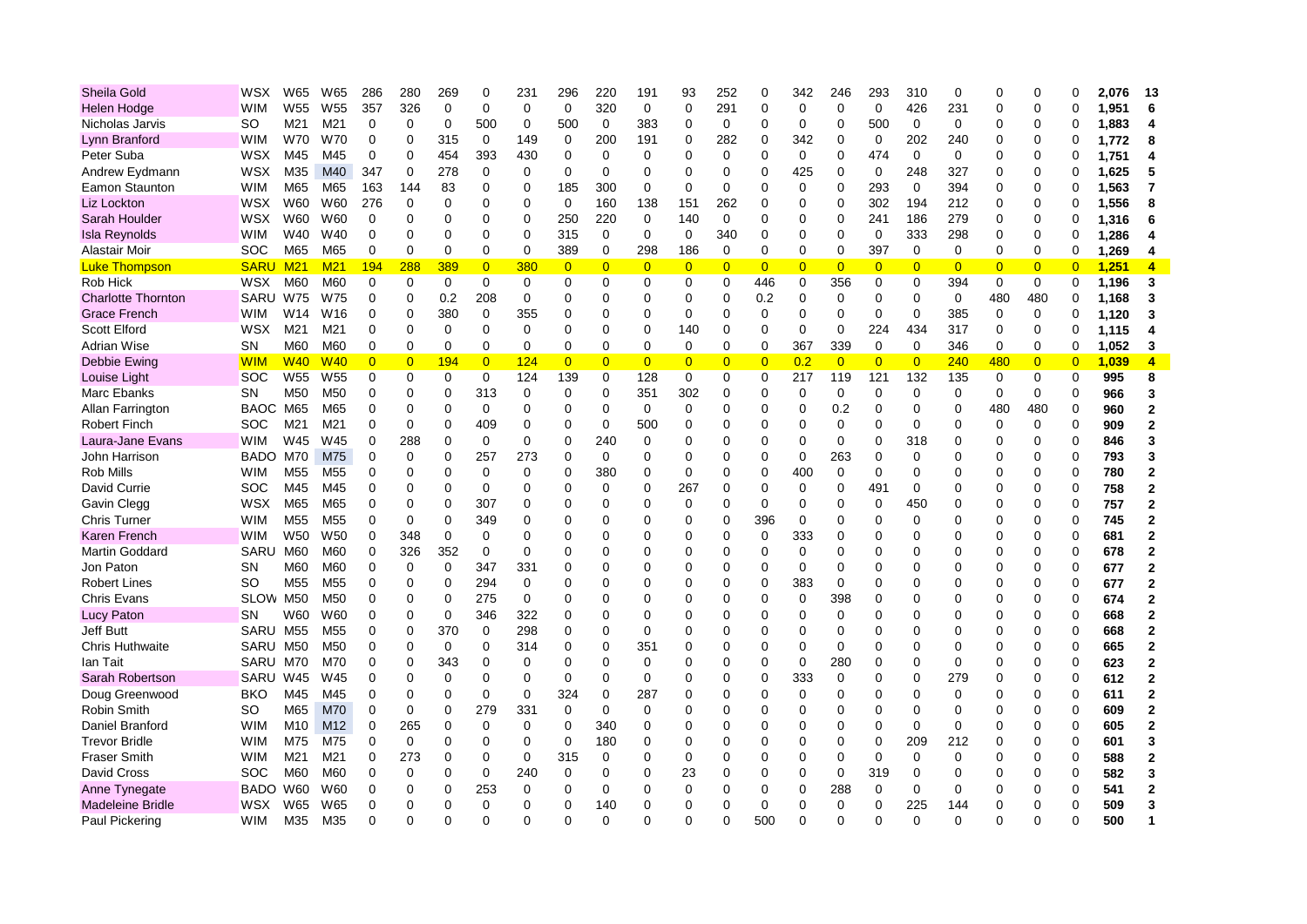| Sheila Gold               | WSX         | W65             | W65             | 286            | 280            | 269            | $\mathbf 0$    | 231         | 296            | 220            | 191            | 93             | 252            | ∩              | 342            | 246            | 293            | 310            | 0              | ∩              | ∩              |                | 2.076 | 13             |
|---------------------------|-------------|-----------------|-----------------|----------------|----------------|----------------|----------------|-------------|----------------|----------------|----------------|----------------|----------------|----------------|----------------|----------------|----------------|----------------|----------------|----------------|----------------|----------------|-------|----------------|
| <b>Helen Hodge</b>        | <b>WIM</b>  | W <sub>55</sub> | W <sub>55</sub> | 357            | 326            | $\mathbf 0$    | $\mathbf 0$    | $\mathbf 0$ | $\mathbf 0$    | 320            | $\mathbf 0$    | $\overline{0}$ | 291            | $\Omega$       | 0              | $\mathbf 0$    | $\mathbf 0$    | 426            | 231            | $\Omega$       | $\Omega$       |                | 1,951 | 6              |
| Nicholas Jarvis           | <b>SO</b>   | M21             | M21             | $\mathbf 0$    | $\Omega$       | $\mathbf 0$    | 500            | $\mathbf 0$ | 500            | $\mathbf 0$    | 383            | $\mathbf 0$    | 0              | $\Omega$       | 0              | 0              | 500            | $\mathbf 0$    | 0              | $\Omega$       | 0              | ∩              | 1,883 | 4              |
| Lynn Branford             | <b>WIM</b>  | <b>W70</b>      | W70             | $\mathbf 0$    | $\Omega$       | 315            | $\mathbf 0$    | 149         | $\mathbf 0$    | 200            | 191            | $\Omega$       | 282            | $\Omega$       | 342            | $\mathbf 0$    | 0              | 202            | 240            | $\Omega$       | 0              | O              | 1,772 | 8              |
| Peter Suba                | <b>WSX</b>  | M45             | M45             | $\mathbf 0$    | $\mathbf 0$    | 454            | 393            | 430         | $\Omega$       | 0              | 0              | 0              | 0              | $\Omega$       | 0              | $\mathbf 0$    | 474            | $\mathbf 0$    | 0              | 0              | 0              | O              | 1,751 | 4              |
| Andrew Eydmann            | <b>WSX</b>  | M35             | M40             | 347            | $\mathbf 0$    | 278            | 0              | 0           | 0              | $\mathbf 0$    | $\Omega$       | $\Omega$       | 0              | $\Omega$       | 425            | $\mathbf 0$    | 0              | 248            | 327            | 0              | 0              | ∩              | 1,625 | 5              |
| Eamon Staunton            | <b>WIM</b>  | M65             | M65             | 163            | 144            | 83             | $\Omega$       | 0           | 185            | 300            | $\mathbf 0$    | $\Omega$       | 0              | ∩              | 0              | $\mathbf 0$    | 293            | $\mathbf 0$    | 394            | $\Omega$       | 0              |                | 1,563 | 7              |
| Liz Lockton               | <b>WSX</b>  | W60             | W60             | 276            | $\Omega$       | $\Omega$       | $\Omega$       | $\Omega$    | $\Omega$       | 160            | 138            | 151            | 262            | $\Omega$       | 0              | $\overline{0}$ | 302            | 194            | 212            | $\Omega$       | 0              |                | 1,556 | 8              |
| Sarah Houlder             | <b>WSX</b>  | W60             | W60             | 0              | $\Omega$       | 0              | 0              | 0           | 250            | 220            | 0              | 140            | 0              | $\Omega$       | 0              | $\mathbf 0$    | 241            | 186            | 279            | 0              | 0              | 0              | 1,316 | 6              |
| <b>Isla Reynolds</b>      | <b>WIM</b>  | W40             | W40             | 0              | $\mathbf 0$    | 0              | $\Omega$       | 0           | 315            | 0              | 0              | 0              | 340            | $\mathbf 0$    | 0              | 0              | $\mathbf 0$    | 333            | 298            | 0              | 0              | $\Omega$       | 1,286 |                |
| Alastair Moir             | <b>SOC</b>  | M65             | M65             | $\mathbf 0$    | 0              | $\pmb{0}$      | $\overline{0}$ | 0           | 389            | $\mathbf 0$    | 298            | 186            | 0              | $\mathbf 0$    | 0              | $\mathbf 0$    | 397            | 0              | 0              | $\mathbf 0$    | $\mathbf 0$    | 0              | 1,269 | 4              |
| <b>Luke Thompson</b>      | <b>SARU</b> | M <sub>21</sub> | M <sub>21</sub> | 194            | 288            | 389            | $\overline{0}$ | 380         | $\overline{0}$ | $\overline{0}$ | $\overline{0}$ | $\overline{0}$ | $\overline{0}$ | $\overline{0}$ | $\overline{0}$ | $\overline{0}$ | $\overline{0}$ | $\overline{0}$ | $\overline{0}$ | $\overline{0}$ | $\overline{0}$ | $\overline{0}$ | 1,251 | 4              |
| Rob Hick                  | <b>WSX</b>  | M60             | M60             | $\mathbf 0$    | $\mathbf 0$    | $\Omega$       | $\Omega$       | $\mathbf 0$ | $\mathbf 0$    | $\Omega$       | $\Omega$       | 0              | $\mathbf 0$    | 446            | 0              | 356            | $\Omega$       | $\mathbf 0$    | 394            | $\mathbf 0$    | $\mathbf 0$    | $\Omega$       | 1,196 | 3              |
| <b>Charlotte Thornton</b> | SARU        | W75             | W75             | 0              | $\mathbf 0$    | 0.2            | 208            | $\mathbf 0$ | $\mathbf 0$    | $\Omega$       | 0              | $\Omega$       | $\Omega$       | 0.2            | 0              | $\mathbf 0$    | 0              | $\mathbf 0$    | 0              | 480            | 480            | $\Omega$       | 1,168 | 3              |
| <b>Grace French</b>       | <b>WIM</b>  | W14             | W16             | 0              | $\mathbf 0$    | 380            | 0              | 355         | 0              | $\mathbf 0$    | 0              | 0              | 0              | $\mathbf 0$    | 0              | $\mathbf 0$    | 0              | 0              | 385            | 0              | 0              | $\Omega$       | 1,120 | 3              |
| <b>Scott Elford</b>       | WSX         | M21             | M21             | $\mathbf 0$    | $\mathbf 0$    | $\Omega$       | $\Omega$       | 0           | $\mathbf 0$    | $\Omega$       | $\Omega$       | 140            | $\mathbf 0$    | $\Omega$       | 0              | $\mathbf 0$    | 224            | 434            | 317            | 0              | $\mathbf 0$    | $\Omega$       | 1.115 | 4              |
| <b>Adrian Wise</b>        | <b>SN</b>   | M60             | M60             | $\mathbf 0$    | $\Omega$       | $\mathbf 0$    | $\Omega$       | 0           | $\Omega$       | $\Omega$       | $\Omega$       | 0              | $\mathbf 0$    | $\mathbf 0$    | 367            | 339            | $\mathbf 0$    | $\mathbf 0$    | 346            | 0              | 0              | 0              | 1,052 | 3              |
| Debbie Ewing              | <b>WIM</b>  | W <sub>40</sub> | <b>W40</b>      | $\overline{0}$ | $\overline{0}$ | 194            | $\overline{0}$ | 124         | $\overline{0}$ | $\overline{0}$ | $\overline{0}$ | $\overline{0}$ | $\overline{0}$ | $\overline{0}$ | 0.2            | $\overline{0}$ | $\overline{0}$ | $\overline{0}$ | 240            | 480            | $\overline{0}$ | $\overline{0}$ | 1,039 | $\overline{4}$ |
| Louise Light              | <b>SOC</b>  | W <sub>55</sub> | W <sub>55</sub> | 0              | 0              | 0              | 0              | 124         | 139            | 0              | 128            | 0              | 0              | $\mathbf 0$    | 217            | 119            | 121            | 132            | 135            | $\mathbf 0$    | 0              | $\Omega$       | 995   | 8              |
| Marc Ebanks               | <b>SN</b>   | M50             | M <sub>50</sub> | $\mathbf 0$    | $\mathbf 0$    | $\mathbf 0$    | 313            | 0           | $\mathbf 0$    | $\mathbf 0$    | 351            | 302            | $\mathbf 0$    | $\mathbf 0$    | 0              | $\mathbf 0$    | 0              | $\Omega$       | 0              | $\mathbf 0$    | $\mathbf 0$    | $\Omega$       | 966   | 3              |
| Allan Farrington          | <b>BAOC</b> | M65             | M65             | $\mathbf 0$    | $\mathbf 0$    | 0              | 0              | 0           | $\mathbf 0$    | $\Omega$       | $\mathbf 0$    | 0              | 0              | $\mathbf 0$    | 0              | 0.2            | $\Omega$       | $\mathbf 0$    | 0              | 480            | 480            | $\Omega$       | 960   | $\mathbf 2$    |
| <b>Robert Finch</b>       | SOC         | M21             | M21             | $\mathbf 0$    | $\mathbf 0$    | $\mathbf 0$    | 409            | 0           | $\mathbf 0$    | $\mathbf 0$    | 500            | $\overline{0}$ | 0              | $\Omega$       | 0              | 0              | 0              | 0              | 0              | 0              | 0              | $\Omega$       | 909   | $\overline{2}$ |
| Laura-Jane Evans          | <b>WIM</b>  | W45             | W45             | $\mathbf 0$    | 288            | 0              | 0              | 0           | $\mathbf 0$    | 240            | 0              | $\Omega$       | 0              | $\Omega$       | 0              | 0              | 0              | 318            | 0              | 0              | 0              | $\Omega$       | 846   | 3              |
| John Harrison             | BADO M70    |                 | M75             | $\mathbf 0$    | $\mathbf 0$    | $\Omega$       | 257            | 273         | $\Omega$       | $\Omega$       | 0              | $\Omega$       | 0              | $\Omega$       | 0              | 263            | $\Omega$       | $\Omega$       | 0              | $\Omega$       | 0              | $\Omega$       | 793   | 3              |
| Rob Mills                 | <b>WIM</b>  | M55             | M <sub>55</sub> | 0              | $\mathbf 0$    | 0              | $\Omega$       | 0           | 0              | 380            | 0              | 0              | 0              | $\Omega$       | 400            | $\mathbf 0$    | 0              | $\Omega$       | $\Omega$       | 0              | 0              | $\Omega$       | 780   | $\overline{2}$ |
| David Currie              | SOC         | M45             | M45             | $\mathbf 0$    | 0              | 0              | $\mathbf 0$    | 0           | 0              | 0              | 0              | 267            | 0              | $\Omega$       | 0              | $\mathbf 0$    | 491            | $\mathbf 0$    | 0              | $\Omega$       | 0              | $\Omega$       | 758   | $\overline{2}$ |
| Gavin Clegg               | <b>WSX</b>  | M65             | M65             | 0              | $\mathbf 0$    | 0              | 307            | 0           | $\mathbf 0$    | $\Omega$       | 0              | 0              | 0              | $\mathbf 0$    | 0              | $\mathbf 0$    | 0              | 450            | 0              | $\Omega$       | 0              | $\Omega$       | 757   | $\mathbf 2$    |
| <b>Chris Turner</b>       | <b>WIM</b>  | M55             | M55             | $\mathbf 0$    | $\mathbf 0$    | $\overline{0}$ | 349            | 0           | 0              | U              | C              | $\Omega$       | 0              | 396            | 0              | 0              | 0              | $\Omega$       | 0              | $\Omega$       | 0              | $\Omega$       | 745   | $\overline{2}$ |
| <b>Karen French</b>       | <b>WIM</b>  | W <sub>50</sub> | W <sub>50</sub> | $\mathbf 0$    | 348            | $\mathbf 0$    | $\Omega$       | 0           | $\Omega$       | $\Omega$       | C              | $\Omega$       | $\Omega$       | $\mathbf 0$    | 333            | $\Omega$       | $\Omega$       | $\Omega$       | $\Omega$       | $\Omega$       | 0              | $\Omega$       | 681   | $\overline{2}$ |
| Martin Goddard            | SARU        | M60             | M60             | $\mathbf 0$    | 326            | 352            | $\mathbf 0$    | 0           | 0              | $\Omega$       | C              | $\Omega$       | 0              | $\Omega$       | 0              | $\Omega$       | $\Omega$       | $\Omega$       | 0              | $\Omega$       | 0              | $\Omega$       | 678   | $\overline{2}$ |
| Jon Paton                 | <b>SN</b>   | M60             | M60             | 0              | 0              | 0              | 347            | 331         | 0              | O              | C              | $\Omega$       | 0              | $\Omega$       | 0              | $\Omega$       | 0              | $\Omega$       | 0              | $\Omega$       | 0              | $\mathbf 0$    | 677   | $\overline{2}$ |
| <b>Robert Lines</b>       | <b>SO</b>   | M55             | M <sub>55</sub> | 0              | 0              | 0              | 294            | 0           | $\mathbf 0$    | $\Omega$       | O              | $\overline{0}$ | 0              | $\mathbf 0$    | 383            | 0              | 0              | $\Omega$       | 0              | $\Omega$       | $\mathbf 0$    | $\mathbf 0$    | 677   | $\overline{2}$ |
| <b>Chris Evans</b>        | SLOW M50    |                 | M <sub>50</sub> | $\mathbf 0$    | $\mathbf 0$    | 0              | 275            | $\mathbf 0$ | 0              | $\Omega$       | C              | $\Omega$       | 0              | $\Omega$       | 0              | 398            | 0              | $\Omega$       | 0              | $\Omega$       | 0              | $\Omega$       | 674   | $\overline{2}$ |
| <b>Lucy Paton</b>         | <b>SN</b>   | W60             | W60             | $\mathbf 0$    | $\mathbf 0$    | $\mathbf 0$    | 346            | 322         | $\mathbf 0$    | $\Omega$       | 0              | $\Omega$       | 0              | $\Omega$       | 0              | $\mathbf 0$    | 0              | $\Omega$       | 0              | $\Omega$       | 0              | $\Omega$       | 668   | $\overline{2}$ |
| <b>Jeff Butt</b>          | SARU        | M <sub>55</sub> | M <sub>55</sub> | $\mathbf 0$    | $\Omega$       | 370            | 0              | 298         | $\mathbf 0$    | $\Omega$       | 0              | $\Omega$       | 0              | $\Omega$       | 0              | $\Omega$       | $\Omega$       | $\Omega$       | 0              | $\Omega$       | 0              | $\Omega$       | 668   | $\overline{2}$ |
| Chris Huthwaite           | SARU        | M50             | M <sub>50</sub> | 0              | 0              | 0              | $\Omega$       | 314         | 0              | $\Omega$       | 351            | 0              | 0              | ∩              | 0              | $\mathbf 0$    | 0              | $\mathbf 0$    | 0              | $\Omega$       | 0              | $\mathbf 0$    | 665   | $\overline{2}$ |
| lan Tait                  | SARU        | M70             | M70             | $\mathbf 0$    | $\Omega$       | 343            | $\mathbf 0$    | 0           | $\Omega$       | $\Omega$       | $\Omega$       | $\Omega$       | 0              | $\Omega$       | 0              | 280            | 0              | $\Omega$       | 0              | $\Omega$       | 0              | $\Omega$       | 623   | $\overline{2}$ |
| Sarah Robertson           | SARU        | W45             | W45             | $\mathbf 0$    | $\mathbf 0$    | $\mathbf 0$    | $\Omega$       | 0           | 0              | $\mathbf 0$    | 0              | $\Omega$       | 0              | $\Omega$       | 333            | $\mathbf 0$    | 0              | $\mathbf 0$    | 279            | $\Omega$       | $\Omega$       | $\Omega$       | 612   | $\mathbf 2$    |
| Doug Greenwood            | <b>BKO</b>  | M45             | M45             | $\mathbf 0$    | $\mathbf 0$    | 0              | $\mathbf 0$    | 0           | 324            | $\mathbf 0$    | 287            | $\Omega$       | 0              | $\Omega$       | 0              | $\Omega$       | 0              | $\Omega$       | 0              | $\Omega$       | 0              | $\Omega$       | 611   | $\overline{2}$ |
| Robin Smith               | <b>SO</b>   | M65             | M70             | $\mathbf 0$    | 0              | 0              | 279            | 331         | $\mathbf 0$    | $\mathbf 0$    | 0              | $\Omega$       | 0              | 0              | 0              | $\mathbf 0$    | 0              | $\mathbf 0$    | 0              | $\Omega$       | 0              | $\mathbf 0$    | 609   | $\overline{2}$ |
| Daniel Branford           | <b>WIM</b>  | M10             | M12             | $\mathbf 0$    | 265            | $\Omega$       | $\Omega$       | $\Omega$    | $\Omega$       | 340            | $\Omega$       | $\Omega$       | 0              | $\Omega$       | $\Omega$       | $\Omega$       | $\Omega$       | $\Omega$       | $\Omega$       | $\Omega$       | $\Omega$       | $\Omega$       | 605   | $\mathbf 2$    |
| <b>Trevor Bridle</b>      | <b>WIM</b>  | M75             | M75             | $\mathbf 0$    | $\mathbf 0$    | 0              | $\mathbf 0$    | $\Omega$    | $\mathbf 0$    | 180            | $\Omega$       | $\Omega$       | 0              | $\Omega$       | 0              | $\mathbf 0$    | 0              | 209            | 212            | 0              | 0              | $\Omega$       | 601   | 3              |
| <b>Fraser Smith</b>       | <b>WIM</b>  | M21             | M21             | 0              | 273            | 0              | $\mathbf 0$    | 0           | 315            | 0              | $\Omega$       | $\overline{0}$ | 0              | $\Omega$       | 0              | $\mathbf 0$    | $\Omega$       | $\mathbf 0$    | 0              | $\Omega$       | 0              | $\mathbf 0$    | 588   | $\mathbf{2}$   |
| David Cross               | <b>SOC</b>  | M60             | M60             | 0              | $\mathbf 0$    | 0              | $\mathbf 0$    | 240         | 0              | $\Omega$       | 0              | 23             | 0              | ∩              | 0              | $\mathbf 0$    | 319            | $\mathbf 0$    | 0              | $\Omega$       | 0              | $\mathbf 0$    | 582   | 3              |
| Anne Tynegate             | <b>BADO</b> | W60             | W60             | $\mathbf 0$    | $\mathbf 0$    | 0              | 253            | 0           | $\mathbf 0$    | $\Omega$       | $\Omega$       | $\Omega$       | 0              | ∩              | 0              | 288            | $\Omega$       | 0              | 0              | $\Omega$       | $\Omega$       | $\Omega$       | 541   | $\overline{2}$ |
| <b>Madeleine Bridle</b>   | <b>WSX</b>  | W65             | W65             | $\Omega$       | $\Omega$       | $\Omega$       | $\Omega$       | $\Omega$    | $\Omega$       | 140            | $\Omega$       | $\Omega$       | 0              | $\Omega$       | $\Omega$       | $\Omega$       | 0              | 225            | 144            | $\Omega$       | $\Omega$       | $\Omega$       | 509   | 3              |
| Paul Pickering            | <b>WIM</b>  | M35             | M35             | $\Omega$       | $\Omega$       | $\Omega$       | $\Omega$       | n           | $\Omega$       | $\Omega$       | $\Omega$       | $\Omega$       | ŋ              | 500            | $\Omega$       | $\Omega$       | U              | $\Omega$       | $\Omega$       | $\Omega$       | $\Omega$       |                | 500   | 1              |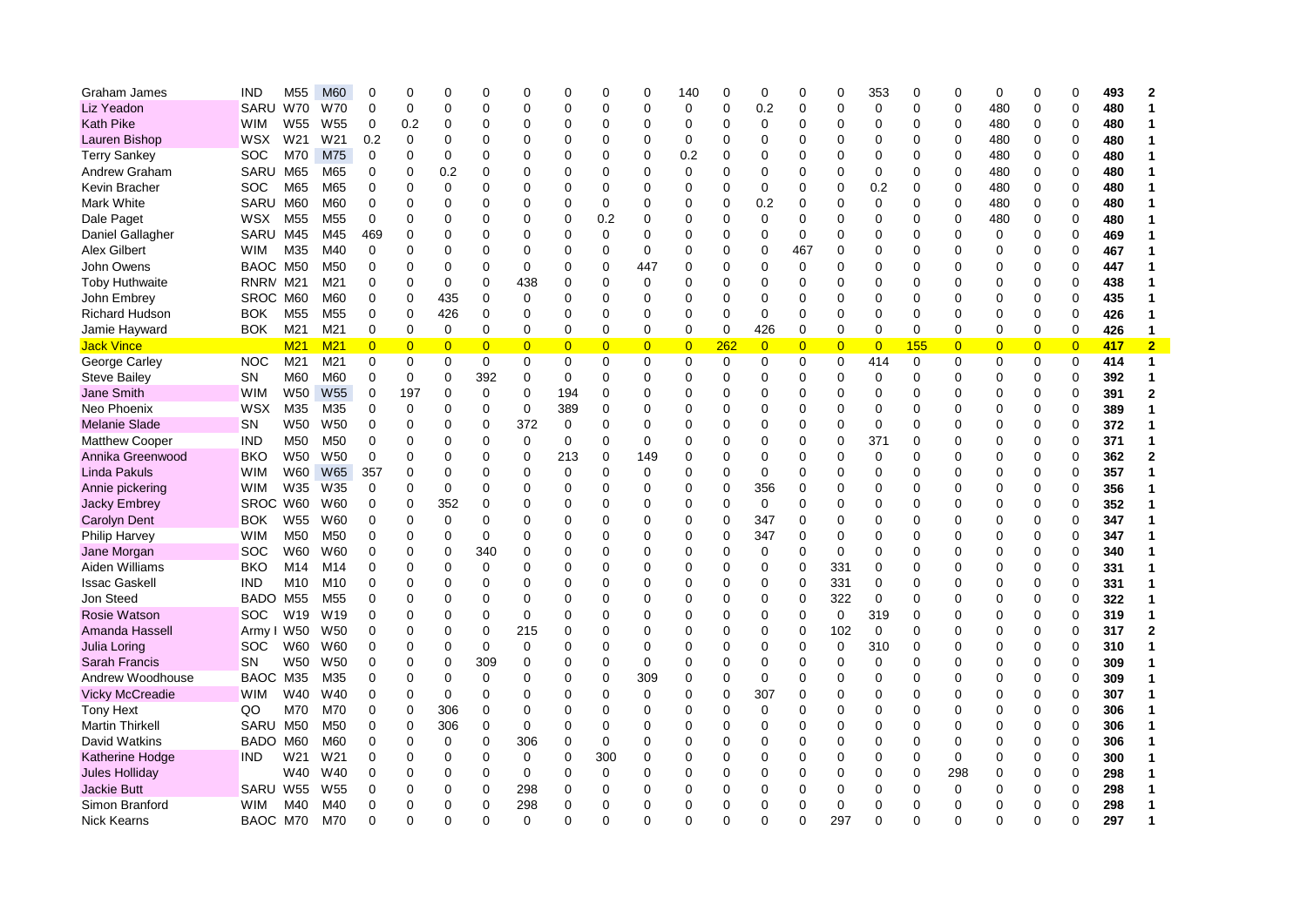| Graham James           | <b>IND</b>  | M <sub>55</sub> | M60             | 0              | $\Omega$       | $\mathbf 0$    | 0              | $\mathbf 0$    | 0              | 0              | $\Omega$       | 140            | $\Omega$    | 0              | 0              | $\mathbf 0$    | 353            | $\Omega$ | $\mathbf 0$    | 0              | $\Omega$       | 0              | 493 | $\mathbf 2$    |
|------------------------|-------------|-----------------|-----------------|----------------|----------------|----------------|----------------|----------------|----------------|----------------|----------------|----------------|-------------|----------------|----------------|----------------|----------------|----------|----------------|----------------|----------------|----------------|-----|----------------|
| Liz Yeadon             | SARU        | <b>W70</b>      | W70             | 0              | $\Omega$       | $\mathbf 0$    | 0              | $\Omega$       | $\Omega$       | 0              | $\Omega$       | $\mathbf 0$    | 0           | 0.2            | 0              | $\mathbf 0$    | $\mathbf 0$    | $\Omega$ | $\mathbf 0$    | 480            | $\Omega$       | $\mathbf 0$    | 480 | 1              |
| <b>Kath Pike</b>       | <b>WIM</b>  | W <sub>55</sub> | W55             | 0              | 0.2            | 0              | 0              | 0              | 0              | 0              | $\Omega$       | 0              | $\mathbf 0$ | 0              | 0              | $\mathbf 0$    | 0              | 0        | $\mathbf 0$    | 480            | 0              | 0              | 480 | 1              |
| Lauren Bishop          | <b>WSX</b>  | W21             | W21             | 0.2            | 0              | $\Omega$       | $\Omega$       | $\Omega$       | 0              | 0              | $\Omega$       | $\mathbf 0$    | 0           | $\Omega$       | 0              | 0              | 0              | $\Omega$ | $\mathbf 0$    | 480            | 0              | $\pmb{0}$      | 480 | 1              |
| <b>Terry Sankey</b>    | <b>SOC</b>  | M70             | M75             | 0              | $\Omega$       | $\mathbf 0$    | $\Omega$       | $\Omega$       | 0              | 0              | $\Omega$       | 0.2            | 0           | $\Omega$       | 0              | $\mathbf 0$    | $\Omega$       | $\Omega$ | $\mathbf 0$    | 480            | $\Omega$       | $\mathbf 0$    | 480 | 1              |
| Andrew Graham          | <b>SARU</b> | M65             | M65             | 0              | $\Omega$       | 0.2            | 0              | $\Omega$       | ი              | 0              | $\Omega$       | 0              | 0           | 0              | 0              | $\mathbf 0$    | 0              | $\Omega$ | $\mathbf 0$    | 480            | $\Omega$       | $\mathbf 0$    | 480 | $\mathbf{1}$   |
| Kevin Bracher          | <b>SOC</b>  | M65             | M65             | 0              | $\Omega$       | 0              | $\Omega$       | $\Omega$       | 0              | 0              | $\Omega$       | $\Omega$       | 0           | $\Omega$       | 0              | 0              | 0.2            | $\Omega$ | $\mathbf 0$    | 480            | $\Omega$       | $\mathbf 0$    | 480 | 1              |
| Mark White             | SARU        | M60             | M60             | 0              | 0              | $\mathbf 0$    | 0              | $\Omega$       | 0              | 0              | 0              | 0              | 0           | 0.2            | 0              | $\mathbf 0$    | $\mathbf 0$    | $\Omega$ | $\mathbf 0$    | 480            | 0              | $\mathbf 0$    | 480 | 1              |
| Dale Paget             | <b>WSX</b>  | M <sub>55</sub> | M55             | 0              | $\Omega$       | $\Omega$       | $\Omega$       | $\Omega$       | 0              | 0.2            | $\Omega$       | $\Omega$       | 0           | $\Omega$       | 0              | 0              | 0              | $\Omega$ | $\mathbf 0$    | 480            | 0              | $\pmb{0}$      | 480 | 1              |
| Daniel Gallagher       | SARU        | M45             | M45             | 469            | $\Omega$       | $\mathbf 0$    | $\Omega$       | $\mathbf 0$    | 0              | 0              | $\Omega$       | $\Omega$       | $\Omega$    | $\Omega$       | 0              | $\mathbf 0$    | $\Omega$       | $\Omega$ | $\mathbf 0$    | 0              | 0              | $\mathbf 0$    | 469 | 1              |
| <b>Alex Gilbert</b>    | <b>WIM</b>  | M35             | M40             | 0              | $\Omega$       | $\Omega$       | 0              | $\Omega$       | 0              | 0              | $\Omega$       | 0              | 0           | $\Omega$       | 467            | $\mathbf 0$    | 0              | ∩        | $\Omega$       | 0              | $\mathbf 0$    | $\mathbf 0$    | 467 | 1              |
| John Owens             | BAOC        | M50             | M50             | 0              | $\Omega$       | $\Omega$       | 0              | $\mathbf 0$    | 0              | 0              | 447            | 0              | 0           | 0              | 0              | $\mathbf 0$    | 0              | ∩        | $\Omega$       | 0              | $\Omega$       | 0              | 447 | 1              |
| <b>Toby Huthwaite</b>  | RNRM        | M21             | M21             | 0              | $\overline{0}$ | $\mathbf 0$    | 0              | 438            | 0              | 0              | 0              | $\Omega$       | 0           | $\Omega$       | 0              | $\mathbf 0$    | 0              | $\Omega$ | $\Omega$       | 0              | $\mathbf 0$    | 0              | 438 | $\mathbf{1}$   |
| John Embrey            | SROC M60    |                 | M60             | 0              | $\Omega$       | 435            | $\Omega$       | $\Omega$       | $\Omega$       | 0              | $\Omega$       | $\Omega$       | 0           | $\Omega$       | 0              | $\Omega$       | 0              | ∩        | $\Omega$       | $\Omega$       | $\Omega$       | $\mathbf 0$    | 435 | 1              |
| <b>Richard Hudson</b>  | <b>BOK</b>  | M <sub>55</sub> | M <sub>55</sub> | $\mathbf 0$    | $\overline{0}$ | 426            | 0              | $\mathbf 0$    | $\Omega$       | 0              | $\Omega$       | $\Omega$       | $\mathbf 0$ | $\mathbf 0$    | 0              | $\mathbf 0$    | $\Omega$       | $\Omega$ | $\Omega$       | 0              | 0              | $\mathbf 0$    | 426 | $\mathbf{1}$   |
| Jamie Hayward          | <b>BOK</b>  | M21             | M21             | 0              | 0              | 0              | $\Omega$       | $\mathbf 0$    | 0              | 0              | 0              | $\Omega$       | 0           | 426            | 0              | 0              | $\Omega$       | 0        | $\Omega$       | 0              | $\mathbf 0$    | $\mathbf 0$    | 426 | 1              |
| <b>Jack Vince</b>      |             | M <sub>21</sub> | M <sub>21</sub> | $\overline{0}$ | $\overline{0}$ | $\overline{0}$ | $\overline{0}$ | $\overline{0}$ | $\overline{0}$ | $\overline{0}$ | $\overline{0}$ | $\overline{0}$ | <b>262</b>  | $\overline{0}$ | $\overline{0}$ | $\overline{0}$ | $\overline{0}$ | 155      | $\overline{0}$ | $\overline{0}$ | $\overline{0}$ | $\overline{0}$ | 417 | $\overline{2}$ |
| George Carley          | <b>NOC</b>  | M21             | M21             | 0              | 0              | 0              | 0              | $\mathbf 0$    | 0              | 0              | 0              | 0              | $\mathbf 0$ | 0              | 0              | 0              | 414            | 0        | 0              | 0              | 0              | $\mathbf 0$    | 414 | $\mathbf{1}$   |
| <b>Steve Bailey</b>    | SN          | M60             | M60             | $\Omega$       | 0              | 0              | 392            | $\Omega$       | $\Omega$       | 0              | $\Omega$       | $\Omega$       | 0           | $\Omega$       | 0              | $\Omega$       | $\mathbf 0$    | $\Omega$ | $\Omega$       | 0              | $\Omega$       | $\mathbf 0$    | 392 | 1              |
| Jane Smith             | <b>WIM</b>  | W <sub>50</sub> | W55             | $\mathbf 0$    | 197            | 0              | 0              | $\mathbf 0$    | 194            | 0              | $\Omega$       | $\mathbf 0$    | 0           | $\Omega$       | 0              | $\mathbf 0$    | 0              | $\Omega$ | $\Omega$       | 0              | 0              | $\mathbf 0$    | 391 | $\mathbf{2}$   |
| Neo Phoenix            | WSX         | M35             | M35             | 0              | 0              | $\mathbf 0$    | 0              | $\mathbf 0$    | 389            | 0              | $\Omega$       | 0              | 0           | $\Omega$       | 0              | $\mathbf 0$    | $\Omega$       | $\Omega$ | $\Omega$       | 0              | 0              | $\mathbf 0$    | 389 | $\mathbf{1}$   |
| <b>Melanie Slade</b>   | SN          | W <sub>50</sub> | W50             | 0              | 0              | $\mathbf 0$    | 0              | 372            | 0              | 0              | 0              | $\Omega$       | 0           | $\Omega$       | 0              | 0              | 0              | 0        | $\Omega$       | 0              | $\mathbf 0$    | $\mathbf 0$    | 372 | 1              |
| <b>Matthew Cooper</b>  | <b>IND</b>  | M <sub>50</sub> | M50             | 0              | 0              | $\mathbf 0$    | 0              | 0              | 0              | 0              | 0              | 0              | 0           | 0              | 0              | 0              | 371            | 0        | $\Omega$       | 0              | 0              | 0              | 371 | 1              |
| Annika Greenwood       | <b>BKO</b>  | W <sub>50</sub> | W50             | 0              | $\Omega$       | $\Omega$       | 0              | $\Omega$       | 213            | 0              | 149            | $\Omega$       | 0           | $\Omega$       | 0              | $\Omega$       | $\Omega$       | $\Omega$ | $\Omega$       | $\Omega$       | $\Omega$       | $\mathbf 0$    | 362 | $\mathbf 2$    |
| <b>Linda Pakuls</b>    | <b>WIM</b>  | W60             | <b>W65</b>      | 357            | $\Omega$       | $\mathbf 0$    | 0              | $\mathbf 0$    | $\mathbf 0$    | 0              | 0              | $\Omega$       | $\mathbf 0$ | $\mathbf 0$    | 0              | $\mathbf 0$    | 0              | $\Omega$ | $\Omega$       | 0              | $\mathbf 0$    | $\mathbf 0$    | 357 | $\mathbf{1}$   |
| Annie pickering        | <b>WIM</b>  | W35             | W35             | 0              | $\Omega$       | 0              | 0              | $\Omega$       | 0              | 0              | 0              | $\Omega$       | $\mathbf 0$ | 356            | 0              | 0              | 0              | 0        | $\Omega$       | 0              | 0              | 0              | 356 | 1              |
| <b>Jacky Embrey</b>    | SROC W60    |                 | W60             | 0              | 0              | 352            | 0              | $\Omega$       | 0              | 0              | $\Omega$       | 0              | $\mathbf 0$ | 0              | 0              | 0              | $\Omega$       | $\Omega$ | $\Omega$       | 0              | 0              | $\pmb{0}$      | 352 | $\mathbf{1}$   |
| <b>Carolyn Dent</b>    | BOK         | W55             | W60             | 0              | 0              | 0              | 0              | $\Omega$       | 0              | 0              | 0              | 0              | 0           | 347            | 0              | 0              | 0              | 0        | 0              | 0              | 0              | 0              | 347 | 1              |
| Philip Harvey          | WIM         | M50             | M50             | 0              | $\Omega$       | 0              | 0              | $\Omega$       | 0              | 0              | $\Omega$       | $\Omega$       | 0           | 347            | 0              | $\Omega$       | $\Omega$       | ∩        | $\Omega$       | 0              | $\Omega$       | $\mathbf 0$    | 347 | 1              |
| Jane Morgan            | SOC         | W60             | W60             | 0              | $\Omega$       | $\mathbf 0$    | 340            | $\Omega$       | 0              | 0              | $\Omega$       | $\Omega$       | $\mathbf 0$ | $\mathbf 0$    | 0              | $\mathbf 0$    | 0              | $\Omega$ | $\Omega$       | 0              | $\mathbf 0$    | $\mathbf 0$    | 340 | 1              |
| Aiden Williams         | BKO         | M14             | M14             | 0              | $\Omega$       | $\mathbf 0$    | 0              | $\Omega$       | 0              | 0              | $\Omega$       | $\Omega$       | 0           | $\Omega$       | 0              | 331            | 0              | 0        | $\Omega$       | 0              | $\mathbf 0$    | 0              | 331 | 1              |
| <b>Issac Gaskell</b>   | <b>IND</b>  | M10             | M <sub>10</sub> | 0              | 0              | $\mathbf 0$    | 0              | $\Omega$       | 0              | 0              | 0              | $\Omega$       | $\mathbf 0$ | $\Omega$       | 0              | 331            | $\Omega$       | $\Omega$ | $\Omega$       | 0              | 0              | 0              | 331 | 1              |
| Jon Steed              | <b>BADO</b> | M55             | M <sub>55</sub> | 0              | 0              | 0              | 0              | $\Omega$       | 0              | 0              | 0              | 0              | 0           | 0              | 0              | 322            | 0              | 0        | 0              | 0              | 0              | $\mathbf 0$    | 322 | 1              |
| <b>Rosie Watson</b>    | soc         | W <sub>19</sub> | W19             | $\Omega$       | $\Omega$       | $\mathbf 0$    | $\Omega$       | $\Omega$       | 0              | 0              | ∩              | $\Omega$       | 0           | $\Omega$       | 0              | 0              | 319            | $\Omega$ | $\Omega$       | 0              | $\Omega$       | $\mathbf 0$    | 319 | 1              |
| Amanda Hassell         | Army I      | W50             | W50             | 0              | $\Omega$       | $\mathbf 0$    | $\Omega$       | 215            | 0              | 0              | $\Omega$       | $\Omega$       | 0           | $\Omega$       | 0              | 102            | $\mathbf 0$    | $\Omega$ | $\Omega$       | 0              | $\mathbf 0$    | $\mathbf 0$    | 317 | $\overline{2}$ |
| Julia Loring           | <b>SOC</b>  | W60             | W60             | 0              | $\Omega$       | $\mathbf 0$    | 0              | $\Omega$       | 0              | 0              | 0              | $\Omega$       | 0           | $\Omega$       | 0              | $\mathbf 0$    | 310            | 0        | $\Omega$       | 0              | $\mathbf 0$    | $\mathbf 0$    | 310 | 1              |
| <b>Sarah Francis</b>   | SΝ          | W <sub>50</sub> | W50             | 0              | 0              | 0              | 309            | 0              | 0              | 0              | 0              | 0              | 0           | $\Omega$       | 0              | $\mathbf 0$    | 0              | 0        | $\Omega$       | 0              | 0              | 0              | 309 | 1              |
| Andrew Woodhouse       | BAOC        | M35             | M35             | 0              | 0              | $\mathbf 0$    | 0              | $\Omega$       | 0              | 0              | 309            | 0              | 0           | 0              | 0              | 0              | 0              | 0        | 0              | 0              | 0              | $\mathbf 0$    | 309 | 1              |
| <b>Vicky McCreadie</b> | <b>WIM</b>  | W40             | W40             | 0              | $\Omega$       | $\mathbf 0$    | $\Omega$       | $\Omega$       | $\Omega$       | $\Omega$       | $\Omega$       | $\mathbf 0$    | 0           | 307            | 0              | 0              | $\Omega$       | $\Omega$ | $\Omega$       | 0              | $\Omega$       | $\pmb{0}$      | 307 | 1              |
| <b>Tony Hext</b>       | QO          | M70             | M70             | 0              | $\Omega$       | 306            | 0              | $\Omega$       | 0              | 0              | $\Omega$       | $\Omega$       | $\mathbf 0$ | 0              | 0              | $\mathbf 0$    | 0              | $\Omega$ | $\Omega$       | 0              | $\mathbf 0$    | $\mathbf 0$    | 306 | $\mathbf{1}$   |
| <b>Martin Thirkell</b> | SARU        | M50             | M50             | 0              | $\Omega$       | 306            | 0              | $\Omega$       | 0              | 0              | $\Omega$       | $\Omega$       | 0           | $\Omega$       | 0              | $\mathbf 0$    | 0              | $\Omega$ | $\Omega$       | 0              | $\Omega$       | $\mathbf 0$    | 306 | 1              |
| David Watkins          | BADO        | M60             | M60             | 0              | 0              | 0              | 0              | 306            | 0              | 0              | $\Omega$       | 0              | 0           | $\Omega$       | 0              | 0              | 0              | $\Omega$ | $\Omega$       | 0              | 0              | $\mathbf 0$    | 306 | 1              |
| Katherine Hodge        | <b>IND</b>  | W <sub>21</sub> | W21             | 0              | 0              | 0              | 0              | 0              | 0              | 300            | 0              | 0              | 0           | 0              | 0              | 0              | 0              | 0        | 0              | 0              | 0              | 0              | 300 | 1              |
| Jules Holliday         |             | W40             | W40             | 0              | $\Omega$       | $\mathbf 0$    | $\Omega$       | $\Omega$       | $\Omega$       | 0              | $\Omega$       | $\Omega$       | 0           | $\Omega$       | 0              | $\mathbf 0$    | $\Omega$       | $\Omega$ | 298            | 0              | 0              | $\pmb{0}$      | 298 | 1              |
| <b>Jackie Butt</b>     | SARU        | W55             | W55             | 0              | $\Omega$       | $\Omega$       | 0              | 298            | 0              | 0              | $\Omega$       | 0              | 0           | 0              | 0              | $\mathbf 0$    | 0              | 0        | $\Omega$       | 0              | $\mathbf 0$    | $\mathbf 0$    | 298 | 1              |
| Simon Branford         | WIM         | M40             | M40             | 0              | $\Omega$       | $\mathbf 0$    | $\Omega$       | 298            | 0              | 0              | $\Omega$       | $\Omega$       | 0           | 0              | 0              | $\mathbf 0$    | 0              | $\Omega$ | $\mathbf 0$    | 0              | $\Omega$       | 0              | 298 | 1              |
| <b>Nick Kearns</b>     | BAOC M70    |                 | M70             | $\Omega$       | $\Omega$       | $\Omega$       | $\Omega$       | $\Omega$       | O              | 0              |                | $\Omega$       | U           | $\Omega$       | 0              | 297            | 0              |          | $\Omega$       | 0              | $\Omega$       | 0              | 297 | 1              |